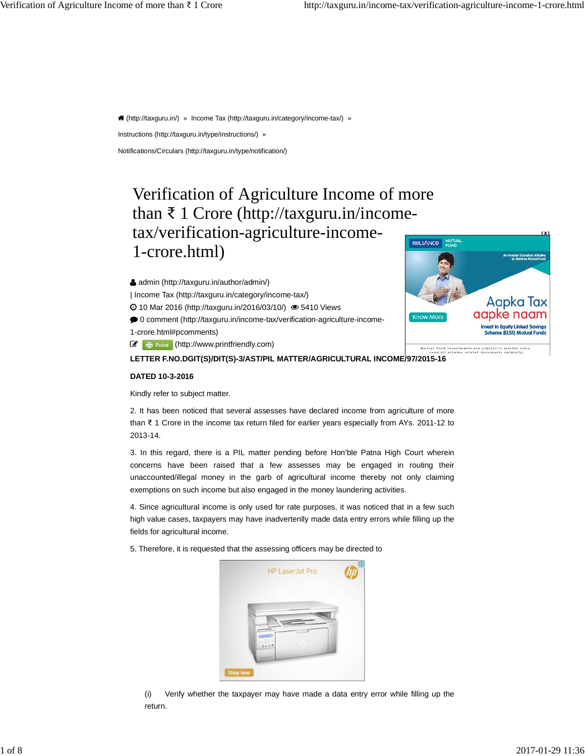(<http://taxguru.in/>) » Income Tax (<http://taxguru.in/category/income-tax/>) »

Instructions [\(http://taxguru.in/type/instructions/](http://taxguru.in/type/instructions/)) »

Notifications/Circulars ([http://taxguru.in/type/notification/\)](http://taxguru.in/type/notification/)

# Verification of Agriculture Income of more than  $\bar{\tau}$  1 Crore [\(http://taxguru.in/income](http://taxguru.in/income-)tax/verification-agriculture-income-1-crore.html)

admin ([http://taxguru.in/author/admin/\)](http://taxguru.in/author/admin/)

| Income Tax [\(http://taxguru.in/category/income-tax/](http://taxguru.in/category/income-tax/))

10 Mar 2016 ([http://taxguru.in/2016/03/10/\)](http://taxguru.in/2016/03/10/) 5410 Views

0 comment (<http://taxguru.in/income-tax/verification-agriculture-income->1-crore.html#pcomments)

*C* **F** Print ([http://www.printfriendly.com](http://www.printfriendly.com/))

**LETTER F.NO.DGIT(S)/DIT(S)-3/AST/PIL MATTER/AGRICULTURAL INCOME/97/2015-16**

## **DATED 10-3-2016**

Kindly refer to subject matter.



**[X]**

2. It has been noticed that several assesses have declared income from agriculture of more than ൠ 1 Crore in the income tax return filed for earlier years especially from AYs. 2011-12 to 2013-14.

3. In this regard, there is a PIL matter pending before Hon'ble Patna High Court wherein concerns have been raised that a few assesses may be engaged in routing their unaccounted/illegal money in the garb of agricultural income thereby not only claiming exemptions on such income but also engaged in the money laundering activities.

4. Since agricultural income is only used for rate purposes, it was noticed that in a few such high value cases, taxpayers may have inadvertenlly made data entry errors while filling up the fields for agricultural income.

5. Therefore, it is requested that the assessing officers may be directed to

| <b>HP LaserJet Pro</b> | Œ |
|------------------------|---|
| u al<br>n,             |   |
| <b>Shop now</b>        |   |

(i) Verify whether the taxpayer may have made a data entry error while filling up the return.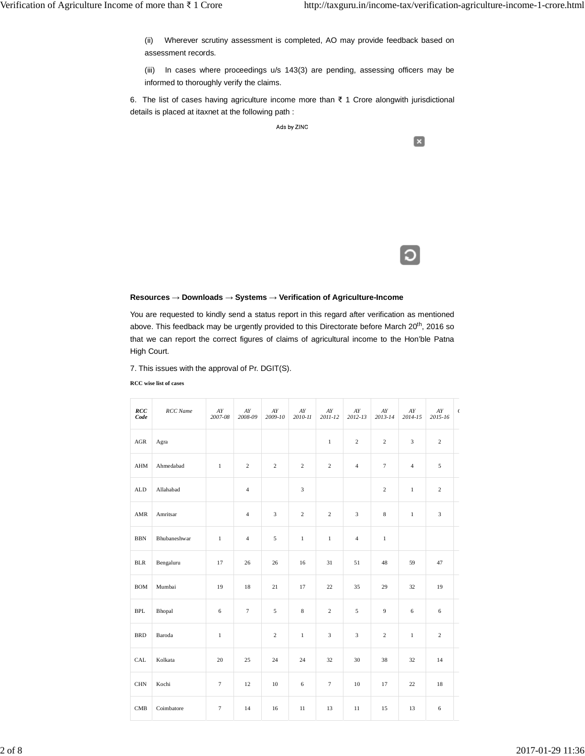(ii) Wherever scrutiny assessment is completed, AO may provide feedback based on assessment records.

(iii) In cases where proceedings u/s 143(3) are pending, assessing officers may be informed to thoroughly verify the claims.

6. The list of cases having agriculture income more than  $\bar{\tau}$  1 Crore alongwith jurisdictional details is placed at itaxnet at the following path :

Ads by ZINC

 $\left[\mathbf{x}\right]$ 

### **Resources ĺ Downloads ĺ Systems ĺ Verification of Agriculture-Income**

You are requested to kindly send a status report in this regard after verification as mentioned above. This feedback may be urgently provided to this Directorate before March 20<sup>th</sup>, 2016 so that we can report the correct figures of claims of agricultural income to the Hon'ble Patna High Court.

7. This issues with the approval of Pr. DGIT(S).

**RCC wise list of cases**

| RCC<br>Code    | <b>RCC</b> Name | ${\cal A}{\cal Y}$<br>2007-08 | AY<br>2008-09  | ${\cal A}{\cal Y}$<br>2009-10 | ${\cal A}{\cal Y}$<br>2010-11 | ${\cal A}Y$<br>2011-12 | ${\cal A}{\cal Y}$<br>2012-13 | ${\cal A}{\cal Y}$<br>2013-14 | ${\cal A}{\cal Y}$<br>2014-15 | ${\cal A}{\cal Y}$<br>2015-16 | $\epsilon$ |
|----------------|-----------------|-------------------------------|----------------|-------------------------------|-------------------------------|------------------------|-------------------------------|-------------------------------|-------------------------------|-------------------------------|------------|
| $\rm{AGR}$     | Agra            |                               |                |                               |                               | $\,1\,$                | $\overline{c}$                | $\overline{c}$                | $\overline{3}$                | $\sqrt{2}$                    |            |
| ${\rm AHM}$    | Ahmedabad       | $\mathbf{1}$                  | $\sqrt{2}$     | $\sqrt{2}$                    | $\overline{c}$                | $\overline{c}$         | $\overline{4}$                | $\tau$                        | $\overline{4}$                | 5                             |            |
| ${\rm ALD}$    | Allahabad       |                               | $\overline{4}$ |                               | $\overline{\mathbf{3}}$       |                        |                               | $\overline{c}$                | $\,1\,$                       | $\overline{c}$                |            |
| $\mathbf{AMR}$ | Amritsar        |                               | $\overline{4}$ | $\overline{3}$                | $\overline{c}$                | $\overline{c}$         | $\overline{3}$                | $\,$ 8 $\,$                   | $\,1\,$                       | $\overline{3}$                |            |
| <b>BBN</b>     | Bhubaneshwar    | $\,1\,$                       | $\overline{4}$ | 5                             | $\,1\,$                       | $\mathbf{1}$           | $\overline{4}$                | $\,1\,$                       |                               |                               |            |
| $BLR$          | Bengaluru       | 17                            | 26             | 26                            | 16                            | 31                     | 51                            | 48                            | 59                            | 47                            |            |
| <b>BOM</b>     | Mumbai          | 19                            | 18             | 21                            | 17                            | 22                     | 35                            | 29                            | 32                            | 19                            |            |
| <b>BPL</b>     | Bhopal          | 6                             | $\tau$         | 5                             | $\,8\,$                       | $\overline{c}$         | 5                             | $\overline{9}$                | 6                             | 6                             |            |
| <b>BRD</b>     | Baroda          | $1\,$                         |                | $\overline{c}$                | $\mathbf{1}$                  | $\overline{3}$         | $\overline{3}$                | $\overline{c}$                | $1\,$                         | $\sqrt{2}$                    |            |
| CAL            | Kolkata         | 20                            | 25             | 24                            | 24                            | 32                     | 30                            | 38                            | 32                            | 14                            |            |
| $\rm CHN$      | Kochi           | $\tau$                        | 12             | $10\,$                        | $\sqrt{6}$                    | $\boldsymbol{7}$       | 10                            | 17                            | $22\,$                        | 18                            |            |
| CMB            | Coimbatore      | $\boldsymbol{7}$              | 14             | 16                            | $11\,$                        | 13                     | $11\,$                        | 15                            | 13                            | $\sqrt{6}$                    |            |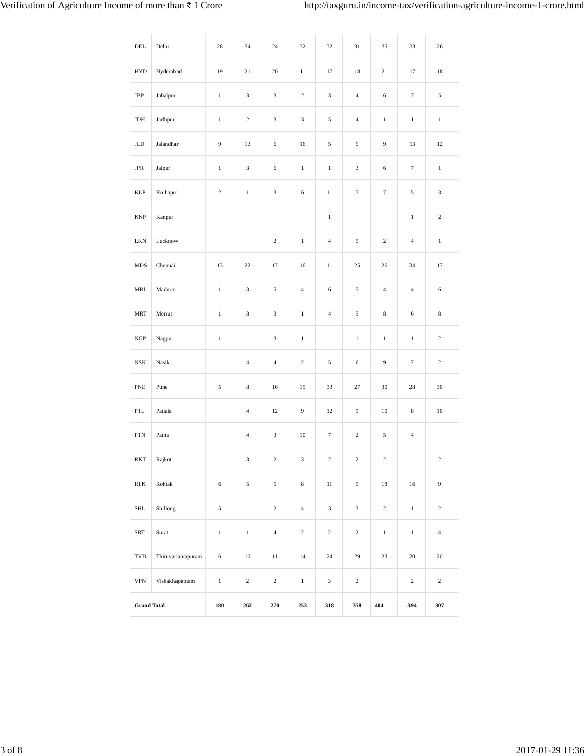| $\rm{DEL}$                  | Delhi             | 28               | 34                      | 24               | 32             | 32               | 31               | 35               | 33               | 26             |
|-----------------------------|-------------------|------------------|-------------------------|------------------|----------------|------------------|------------------|------------------|------------------|----------------|
| <b>HYD</b>                  | Hyderabad         | 19               | $21\,$                  | 20               | $11\,$         | 17               | 18               | 21               | 17               | 18             |
| JBP                         | Jabalpur          | $\,1$            | $\mathfrak{Z}$          | $\mathfrak z$    | $\,2\,$        | $\mathfrak{Z}$   | $\overline{4}$   | 6                | $\boldsymbol{7}$ | 5              |
| $_{\rm JDH}$                | Jodhpur           | $\,1$            | $\,2$                   | $\mathfrak{Z}$   | $\mathfrak{Z}$ | 5                | $\overline{4}$   | $\,1\,$          | $\,1$            | $\,1$          |
| $_{\rm JLD}$                | Jalandhar         | $\boldsymbol{9}$ | 13                      | 6                | 16             | $\sqrt{5}$       | $\sqrt{5}$       | 9                | 13               | 12             |
| $_{\rm JPR}$                | Jaipur            | $\,1$            | 3                       | 6                | $\,1$          | $\,1$            | $\mathfrak{Z}$   | 6                | $\boldsymbol{7}$ | $\,1$          |
| <b>KLP</b>                  | Kolhapur          | $\sqrt{2}$       | $\,1\,$                 | $\mathfrak z$    | 6              | $11\,$           | $\tau$           | $\boldsymbol{7}$ | 5                | $\mathfrak{Z}$ |
| $\ensuremath{\mathrm{KNP}}$ | Kanpur            |                  |                         |                  |                | $\mathbf{1}$     |                  |                  | $1\,$            | $\sqrt{2}$     |
| $\rm LKN$                   | Lucknow           |                  |                         | $\boldsymbol{2}$ | $\,1\,$        | $\overline{4}$   | 5                | $\sqrt{2}$       | $\overline{4}$   | $\mathbf{1}$   |
| MDS                         | Chennai           | 13               | 22                      | 17               | 16             | 11               | 25               | 26               | 34               | 17             |
| MRI                         | Madurai           | $\mathbf{1}$     | $\mathfrak{Z}$          | $\sqrt{5}$       | $\overline{4}$ | $\sqrt{6}$       | 5                | $\sqrt{4}$       | $\overline{4}$   | 6              |
| <b>MRT</b>                  | Merrut            | $\mathbf{1}$     | 3                       | 3                | $\,1$          | $\overline{4}$   | $\sqrt{5}$       | $\,$ 8 $\,$      | 6                | $\,$ 8 $\,$    |
| $_{\rm NGP}$                | Nagpur            | $\,1$            |                         | 3                | $\,1$          |                  | $\,1$            | $\,1$            | $\,1$            | $\overline{c}$ |
| $_{\rm NSK}$                | Nasik             |                  | $\overline{4}$          | $\overline{4}$   | $\overline{c}$ | $\sqrt{5}$       | $\sqrt{6}$       | $\boldsymbol{9}$ | $\tau$           | $\overline{c}$ |
| ${\sf PNE}$                 | Pune              | $\sqrt{5}$       | 8                       | 16               | 15             | 33               | 27               | 30               | 28               | 30             |
| PTL                         | Patiala           |                  | $\overline{\mathbf{4}}$ | 12               | 9              | 12               | $\boldsymbol{9}$ | $10\,$           | $\,$ 8 $\,$      | $10\,$         |
| ${\rm PTN}$                 | Patna             |                  | $\overline{4}$          | 3                | 10             | $\boldsymbol{7}$ | $\sqrt{2}$       | $\sqrt{5}$       | $\overline{4}$   |                |
| RKT                         | Rajkot            |                  | 3                       | $\overline{c}$   | 3              | $\overline{c}$   | 2                | $\overline{c}$   |                  | $\overline{c}$ |
| $\operatorname{RTK}$        | Rohtak            | $\sqrt{6}$       | $\sqrt{5}$              | $\sqrt{5}$       | $\,8\,$        | $11\,$           | $\sqrt{5}$       | $18\,$           | $16\,$           | $\overline{9}$ |
| $\operatorname{SHL}$        | Shillong          | $\sqrt{5}$       |                         | $\sqrt{2}$       | $\overline{4}$ | $\mathfrak z$    | $\sqrt{3}$       | $\sqrt{2}$       | $\,1$            | $\sqrt{2}$     |
| ${\rm SRT}$                 | Surat             | $\,1$            | $\,1$                   | $\sqrt{4}$       | $\overline{c}$ | $\sqrt{2}$       | $\sqrt{2}$       | $\,1$            | $\,1$            | $\overline{4}$ |
| $_{\mbox{\tiny TVD}}$       | Thiruvanantapuram | $\sqrt{6}$       | $10\,$                  | $11\,$           | $14\,$         | $24\,$           | 29               | $23\,$           | $20\,$           | $20\,$         |
| $\ensuremath{\mathsf{VPN}}$ | Vishakhapatnam    | $\,1$            | $\,2$                   | $\,2$            | $\,1$          | $\mathfrak z$    | $\sqrt{2}$       |                  | $\sqrt{2}$       | $\sqrt{2}$     |
| <b>Grand Total</b>          |                   | 180              | 262                     | 270              | 253            | 318              | 358              | 404              | 394              | 307            |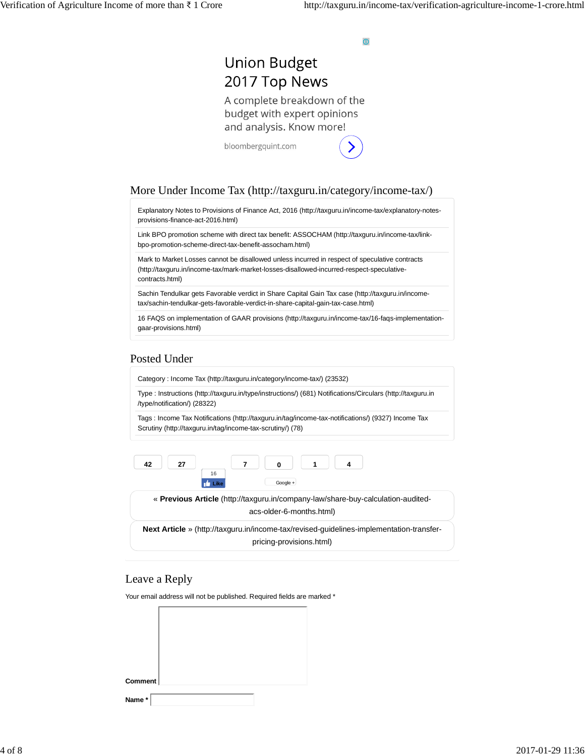$\bigcirc$ 

# **Union Budget** 2017 Top News

A complete breakdown of the budget with expert opinions and analysis. Know more!

bloombergquint.com

## More Under Income Tax ([http://taxguru.in/category/income-tax/\)](http://taxguru.in/category/income-tax/)

Explanatory Notes to Provisions of Finance Act, 2016 ([http://taxguru.in/income-tax/explanatory-notes](http://taxguru.in/income-tax/explanatory-notes-)provisions-finance-act-2016.html)

Link BPO promotion scheme with direct tax benefit: ASSOCHAM ([http://taxguru.in/income-tax/link](http://taxguru.in/income-tax/link-)bpo-promotion-scheme-direct-tax-benefit-assocham.html)

Mark to Market Losses cannot be disallowed unless incurred in respect of speculative contracts ([http://taxguru.in/income-tax/mark-market-losses-disallowed-incurred-respect-speculative](http://taxguru.in/income-tax/mark-market-losses-disallowed-incurred-respect-speculative-)contracts.html)

Sachin Tendulkar gets Favorable verdict in Share Capital Gain Tax case ([http://taxguru.in/income](http://taxguru.in/income-)tax/sachin-tendulkar-gets-favorable-verdict-in-share-capital-gain-tax-case.html)

16 FAQS on implementation of GAAR provisions ([http://taxguru.in/income-tax/16-faqs-implementation](http://taxguru.in/income-tax/16-faqs-implementation-)gaar-provisions.html)

## Posted Under

Category : Income Tax [\(http://taxguru.in/category/income-tax/](http://taxguru.in/category/income-tax/)) (23532)

Type : Instructions [\(http://taxguru.in/type/instructions/\)](http://taxguru.in/type/instructions/) (681) Notifications/Circulars ([http://taxguru.in](http://taxguru.in/) /type/notification/) (28322)

Tags : Income Tax Notifications [\(http://taxguru.in/tag/income-tax-notifications/](http://taxguru.in/tag/income-tax-notifications/)) (9327) Income Tax Scrutiny [\(http://taxguru.in/tag/income-tax-scrutiny/](http://taxguru.in/tag/income-tax-scrutiny/)) (78)

pricing-provisions.html)



## Leave a Reply

Your email address will not be published. Required fields are marked \*

| Comment |  |
|---------|--|
|         |  |
|         |  |
|         |  |
| Name*   |  |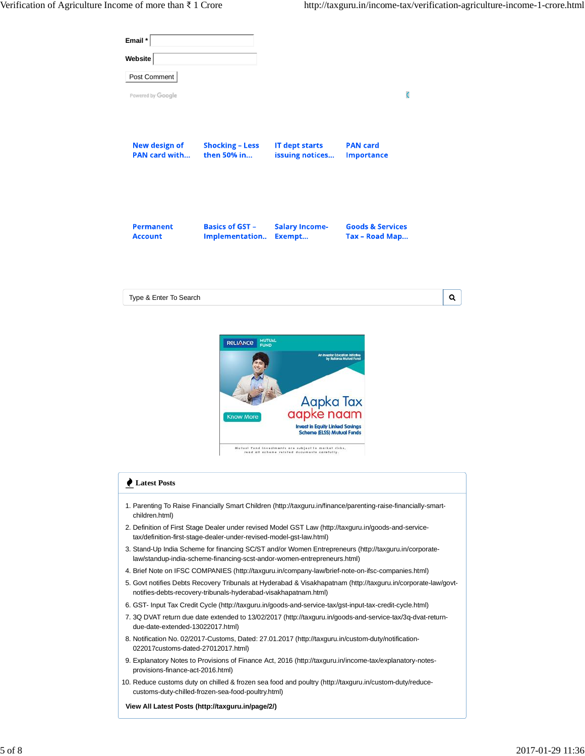| Email *<br>Website                    |                                                                                                                                                |                                                                                                                                                                                                                |                                                                                                                                                                                                                                                                                                                                                                                                                                                                                                                                                        |   |
|---------------------------------------|------------------------------------------------------------------------------------------------------------------------------------------------|----------------------------------------------------------------------------------------------------------------------------------------------------------------------------------------------------------------|--------------------------------------------------------------------------------------------------------------------------------------------------------------------------------------------------------------------------------------------------------------------------------------------------------------------------------------------------------------------------------------------------------------------------------------------------------------------------------------------------------------------------------------------------------|---|
| Post Comment                          |                                                                                                                                                |                                                                                                                                                                                                                |                                                                                                                                                                                                                                                                                                                                                                                                                                                                                                                                                        |   |
| Powered by Google                     |                                                                                                                                                |                                                                                                                                                                                                                | O                                                                                                                                                                                                                                                                                                                                                                                                                                                                                                                                                      |   |
| New design of<br><b>PAN card with</b> | <b>Shocking - Less</b><br>then 50% in                                                                                                          | <b>IT dept starts</b><br>issuing notices                                                                                                                                                                       | <b>PAN card</b><br><b>Importance</b>                                                                                                                                                                                                                                                                                                                                                                                                                                                                                                                   |   |
| <b>Permanent</b><br><b>Account</b>    | <b>Basics of GST -</b><br>Implementation                                                                                                       | <b>Salary Income-</b><br>Exempt                                                                                                                                                                                | <b>Goods &amp; Services</b><br>Tax - Road Map                                                                                                                                                                                                                                                                                                                                                                                                                                                                                                          |   |
| Type & Enter To Search                |                                                                                                                                                |                                                                                                                                                                                                                |                                                                                                                                                                                                                                                                                                                                                                                                                                                                                                                                                        | Q |
|                                       | <b>MUTUAL</b><br><b>RELIANCE</b><br><b>FUND</b><br><b>Know More</b>                                                                            | Aapka Tax<br>aapke naam<br><b>Invest in Equity Linked Savings</b><br><b>Scheme (ELSS) Mutual Funds</b><br>Mutual fund investments are subject to market risks,<br>read all scheme related documents carefully. | slor Education Initialiye                                                                                                                                                                                                                                                                                                                                                                                                                                                                                                                              |   |
| Latest Posts                          |                                                                                                                                                |                                                                                                                                                                                                                |                                                                                                                                                                                                                                                                                                                                                                                                                                                                                                                                                        |   |
| children.html)                        | tax/definition-first-stage-dealer-under-revised-model-gst-law.html)<br>law/standup-india-scheme-financing-scst-andor-women-entrepreneurs.html) |                                                                                                                                                                                                                | 1. Parenting To Raise Financially Smart Children (http://taxguru.in/finance/parenting-raise-financially-smart-<br>2. Definition of First Stage Dealer under revised Model GST Law (http://taxguru.in/goods-and-service-<br>3. Stand-Up India Scheme for financing SC/ST and/or Women Entrepreneurs (http://taxguru.in/corporate-<br>4. Brief Note on IFSC COMPANIES (http://taxguru.in/company-law/brief-note-on-ifsc-companies.html)<br>5. Govt notifies Debts Recovery Tribunals at Hyderabad & Visakhapatnam (http://taxguru.in/corporate-law/govt- |   |
|                                       | notifies-debts-recovery-tribunals-hyderabad-visakhapatnam.html)                                                                                |                                                                                                                                                                                                                |                                                                                                                                                                                                                                                                                                                                                                                                                                                                                                                                                        |   |

- 6. GST- Input Tax Credit Cycle [\(http://taxguru.in/goods-and-service-tax/gst-input-tax-credit-cycle.html\)](http://taxguru.in/goods-and-service-tax/gst-input-tax-credit-cycle.html)
- 3Q DVAT return due date extended to 13/02/2017 [\(http://taxguru.in/goods-and-service-tax/3q-dvat-return-](http://taxguru.in/goods-and-service-tax/3q-dvat-return-)7. due-date-extended-13022017.html)
- 8. Notification No. 02/2017-Customs, Dated: 27.01.2017 (<http://taxguru.in/custom-duty/notification->022017customs-dated-27012017.html)
- Explanatory Notes to Provisions of Finance Act, 2016 (<http://taxguru.in/income-tax/explanatory-notes->9. provisions-finance-act-2016.html)
- 10. Reduce customs duty on chilled & frozen sea food and poultry [\(http://taxguru.in/custom-duty/reduce](http://taxguru.in/custom-duty/reduce-)customs-duty-chilled-frozen-sea-food-poultry.html)

**View All Latest Posts [\(http://taxguru.in/page/2/\)](http://taxguru.in/page/2/)**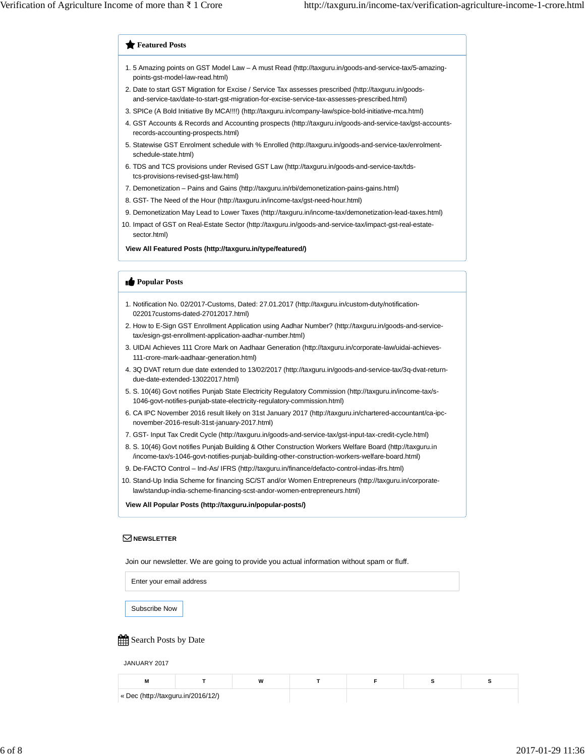### **Featured Posts**

- 5 Amazing points on GST Model Law A must Read [\(http://taxguru.in/goods-and-service-tax/5-amazing-](http://taxguru.in/goods-and-service-tax/5-amazing-)1. points-gst-model-law-read.html)
- 2. Date to start GST Migration for Excise / Service Tax assesses prescribed ([http://taxguru.in/goods](http://taxguru.in/goods-)and-service-tax/date-to-start-gst-migration-for-excise-service-tax-assesses-prescribed.html)
- 3. SPICe (A Bold Initiative By MCA!!!!) [\(http://taxguru.in/company-law/spice-bold-initiative-mca.html](http://taxguru.in/company-law/spice-bold-initiative-mca.html))
- 4. GST Accounts & Records and Accounting prospects ([http://taxguru.in/goods-and-service-tax/gst-accounts](http://taxguru.in/goods-and-service-tax/gst-accounts-)records-accounting-prospects.html)
- 5. Statewise GST Enrolment schedule with % Enrolled [\(http://taxguru.in/goods-and-service-tax/enrolment](http://taxguru.in/goods-and-service-tax/enrolment-)schedule-state.html)
- 6. TDS and TCS provisions under Revised GST Law ([http://taxguru.in/goods-and-service-tax/tds](http://taxguru.in/goods-and-service-tax/tds-)tcs-provisions-revised-gst-law.html)
- 7. Demonetization Pains and Gains (<http://taxguru.in/rbi/demonetization-pains-gains.html>)
- 8. GST- The Need of the Hour [\(http://taxguru.in/income-tax/gst-need-hour.html\)](http://taxguru.in/income-tax/gst-need-hour.html)
- 9. Demonetization May Lead to Lower Taxes ([http://taxguru.in/income-tax/demonetization-lead-taxes.html\)](http://taxguru.in/income-tax/demonetization-lead-taxes.html)
- 10. Impact of GST on Real-Estate Sector [\(http://taxguru.in/goods-and-service-tax/impact-gst-real-estate](http://taxguru.in/goods-and-service-tax/impact-gst-real-estate-)sector.html)

**View All Featured Posts [\(http://taxguru.in/type/featured/](http://taxguru.in/type/featured/))**

## **Popular Posts**

- Notification No. 02/2017-Customs, Dated: 27.01.2017 (<http://taxguru.in/custom-duty/notification->1. 022017customs-dated-27012017.html)
- 2. How to E-Sign GST Enrollment Application using Aadhar Number? ([http://taxguru.in/goods-and-service](http://taxguru.in/goods-and-service-)tax/esign-gst-enrollment-application-aadhar-number.html)
- UIDAI Achieves 111 Crore Mark on Aadhaar Generation (<http://taxguru.in/corporate-law/uidai-achieves->3. 111-crore-mark-aadhaar-generation.html)
- 3Q DVAT return due date extended to 13/02/2017 [\(http://taxguru.in/goods-and-service-tax/3q-dvat-return-](http://taxguru.in/goods-and-service-tax/3q-dvat-return-)4. due-date-extended-13022017.html)
- S. 10(46) Govt notifies Punjab State Electricity Regulatory Commission [\(http://taxguru.in/income-tax/s-](http://taxguru.in/income-tax/s-)5. 1046-govt-notifies-punjab-state-electricity-regulatory-commission.html)
- 6. CA IPC November 2016 result likely on 31st January 2017 ([http://taxguru.in/chartered-accountant/ca-ipc](http://taxguru.in/chartered-accountant/ca-ipc-)november-2016-result-31st-january-2017.html)
- 7. GST- Input Tax Credit Cycle [\(http://taxguru.in/goods-and-service-tax/gst-input-tax-credit-cycle.html\)](http://taxguru.in/goods-and-service-tax/gst-input-tax-credit-cycle.html)
- S. 10(46) Govt notifies Punjab Building & Other Construction Workers Welfare Board ([http://taxguru.in](http://taxguru.in/) 8. /income-tax/s-1046-govt-notifies-punjab-building-other-construction-workers-welfare-board.html)
- 9. De-FACTO Control Ind-As/ IFRS ([http://taxguru.in/finance/defacto-control-indas-ifrs.html\)](http://taxguru.in/finance/defacto-control-indas-ifrs.html)
- 10. Stand-Up India Scheme for financing SC/ST and/or Women Entrepreneurs ([http://taxguru.in/corporate](http://taxguru.in/corporate-)law/standup-india-scheme-financing-scst-andor-women-entrepreneurs.html)

**View All Popular Posts ([http://taxguru.in/popular-posts/\)](http://taxguru.in/popular-posts/)**

#### **NEWSLETTER**

Join our newsletter. We are going to provide you actual information without spam or fluff.

Enter your email address

Subscribe Now

## Search Posts by Date

JANUARY 2017

| M                                  | 18 |  |  |
|------------------------------------|----|--|--|
| « Dec (http://taxguru.in/2016/12/) |    |  |  |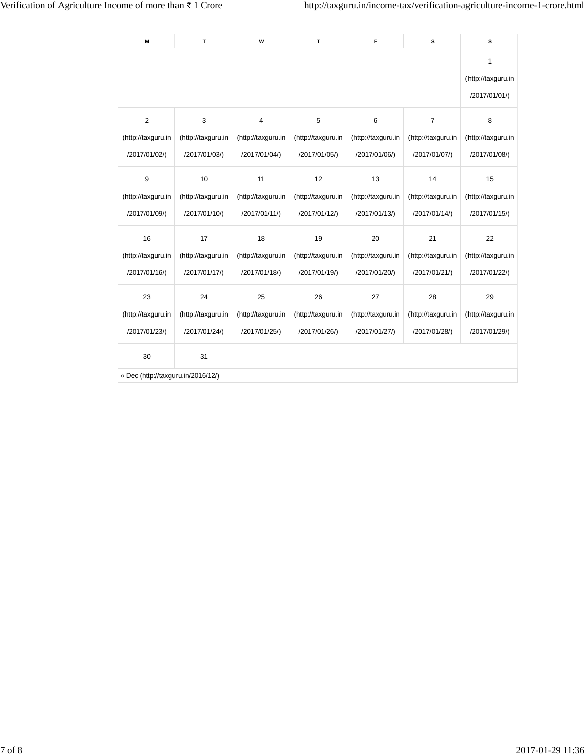| M                                  | T.                 | W                  | T.                 | F                  | s                  | s                  |  |  |
|------------------------------------|--------------------|--------------------|--------------------|--------------------|--------------------|--------------------|--|--|
|                                    |                    |                    |                    |                    |                    |                    |  |  |
| $\overline{2}$                     | 3                  | $\overline{4}$     | 5                  | 6                  | $\overline{7}$     | 8                  |  |  |
| (http://taxguru.in                 | (http://taxguru.in | (http://taxguru.in | (http://taxguru.in | (http://taxguru.in | (http://taxguru.in | (http://taxguru.in |  |  |
| /2017/01/02/)                      | /2017/01/03/)      | /2017/01/04/)      | /2017/01/05/)      | /2017/01/06/)      | /2017/01/07/)      | /2017/01/08/)      |  |  |
| 9                                  | 10                 | 11                 | 12                 | 13                 | 14                 | 15                 |  |  |
| (http://taxguru.in                 | (http://taxguru.in | (http://taxguru.in | (http://taxguru.in | (http://taxguru.in | (http://taxguru.in | (http://taxguru.in |  |  |
| /2017/01/09/)                      | /2017/01/10/)      | /2017/01/11/)      | /2017/01/12/)      | /2017/01/13/)      | /2017/01/14/)      | /2017/01/15/)      |  |  |
| 16                                 | 17                 | 18                 | 19                 | 20                 | 21                 | 22                 |  |  |
| (http://taxguru.in                 | (http://taxguru.in | (http://taxguru.in | (http://taxguru.in | (http://taxguru.in | (http://taxguru.in | (http://taxguru.in |  |  |
| /2017/01/16/)                      | /2017/01/17/)      | /2017/01/18/)      | /2017/01/19/)      | /2017/01/20/)      | /2017/01/21/)      | /2017/01/22/)      |  |  |
| 23                                 | 24                 | 25                 | 26                 | 27                 | 28                 | 29                 |  |  |
| (http://taxguru.in                 | (http://taxguru.in | (http://taxguru.in | (http://taxguru.in | (http://taxguru.in | (http://taxguru.in | (http://taxguru.in |  |  |
| /2017/01/23/)                      | /2017/01/24/)      | /2017/01/25/)      | /2017/01/26/)      | /2017/01/27/)      | /2017/01/28/)      | /2017/01/29/)      |  |  |
| 30                                 | 31                 |                    |                    |                    |                    |                    |  |  |
| « Dec (http://taxguru.in/2016/12/) |                    |                    |                    |                    |                    |                    |  |  |